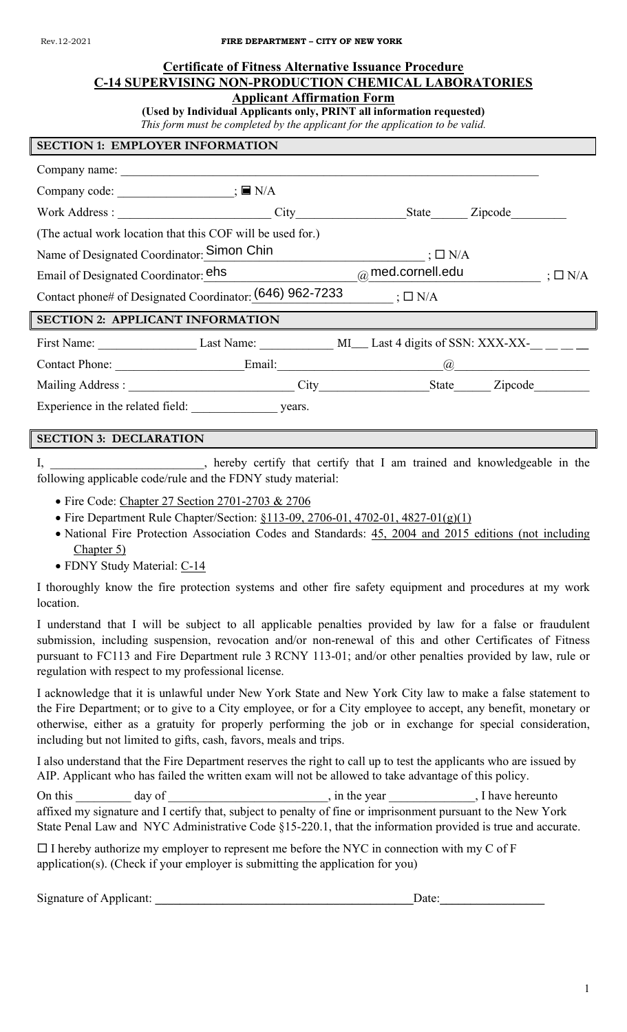## **Certificate of Fitness Alternative Issuance Procedure C-14 SUPERVISING NON-PRODUCTION CHEMICAL LABORATORIES**

# **Applicant Affirmation Form**

**(Used by Individual Applicants only, PRINT all information requested)**

|  |  |  |  | This form must be completed by the applicant for the application to be valid. |  |
|--|--|--|--|-------------------------------------------------------------------------------|--|
|--|--|--|--|-------------------------------------------------------------------------------|--|

# **SECTION 1: EMPLOYER INFORMATION** Company name: Company code: \_\_\_\_\_\_\_\_\_\_\_\_\_\_\_\_\_\_\_; N/A Work Address : \_\_\_\_\_\_\_\_\_\_\_\_\_\_\_\_\_\_\_\_\_\_\_\_\_ City\_\_\_\_\_\_\_\_\_\_\_\_\_\_\_\_\_\_State\_\_\_\_\_\_ Zipcode\_\_\_\_\_\_\_\_\_ (The actual work location that this COF will be used for.) Name of Designated Coordinator: Simon Chin  $\Box$   $\Box$   $\Box$   $N/A$ Email of Designated Coordinator:  $e^{hS}$  and  $\alpha$  med.cornell.edu  $\alpha$ ;  $\Box$  N/A Contact phone# of Designated Coordinator:  $(646)$  962-7233  $\Box$  ;  $\Box$  N/A **SECTION 2: APPLICANT INFORMATION** First Name: Last Name: Last Name: Last 1 digits of SSN: XXX-XX-Contact Phone: \_\_\_\_\_\_\_\_\_\_\_\_\_\_\_\_\_\_\_\_\_Email:\_\_\_\_\_\_\_\_\_\_\_\_\_\_\_\_\_\_\_\_\_\_\_\_\_\_\_@\_\_\_\_\_\_\_\_\_\_\_\_\_\_\_\_\_\_\_\_\_\_ Mailing Address : \_\_\_\_\_\_\_\_\_\_\_\_\_\_\_\_\_\_\_\_\_\_\_\_\_\_\_ City\_\_\_\_\_\_\_\_\_\_\_\_\_\_\_\_\_\_State\_\_\_\_\_\_ Zipcode\_\_\_\_\_\_\_\_\_ Experience in the related field: \_\_\_\_\_\_\_\_\_\_\_\_\_\_\_\_\_\_ years. **SECTION 3: DECLARATION**  ${}_{(\widehat{\alpha})}$ med.cornell.edu

I, hereby certify that certify that I am trained and knowledgeable in the following applicable code/rule and the FDNY study material:

- Fire Code: Chapter 27 Section 2701-2703 & 2706
- Fire Department Rule Chapter/Section:  $§113-09, 2706-01, 4702-01, 4827-01(g)(1)$
- National Fire Protection Association Codes and Standards: 45, 2004 and 2015 editions (not including Chapter 5)
- FDNY Study Material: C-14

I thoroughly know the fire protection systems and other fire safety equipment and procedures at my work location.

I understand that I will be subject to all applicable penalties provided by law for a false or fraudulent submission, including suspension, revocation and/or non-renewal of this and other Certificates of Fitness pursuant to FC113 and Fire Department rule 3 RCNY 113-01; and/or other penalties provided by law, rule or regulation with respect to my professional license.

I acknowledge that it is unlawful under New York State and New York City law to make a false statement to the Fire Department; or to give to a City employee, or for a City employee to accept, any benefit, monetary or otherwise, either as a gratuity for properly performing the job or in exchange for special consideration, including but not limited to gifts, cash, favors, meals and trips.

I also understand that the Fire Department reserves the right to call up to test the applicants who are issued by AIP. Applicant who has failed the written exam will not be allowed to take advantage of this policy.

On this \_\_\_\_\_\_\_\_ day of \_\_\_\_\_\_\_\_\_\_\_\_\_\_\_\_\_, in the year \_\_\_\_\_\_\_\_\_\_, I have hereunto affixed my signature and I certify that, subject to penalty of fine or imprisonment pursuant to the New York State Penal Law and NYC Administrative Code §15-220.1, that the information provided is true and accurate.

 $\Box$  I hereby authorize my employer to represent me before the NYC in connection with my C of F application(s). (Check if your employer is submitting the application for you)

Signature of Applicant: **\_\_\_\_\_\_\_\_\_\_\_\_\_\_\_\_\_\_\_\_\_\_\_\_\_\_\_\_\_\_\_\_\_\_\_\_\_\_\_\_\_\_**Date:**\_\_\_\_\_\_\_\_\_\_\_\_\_\_\_\_\_**